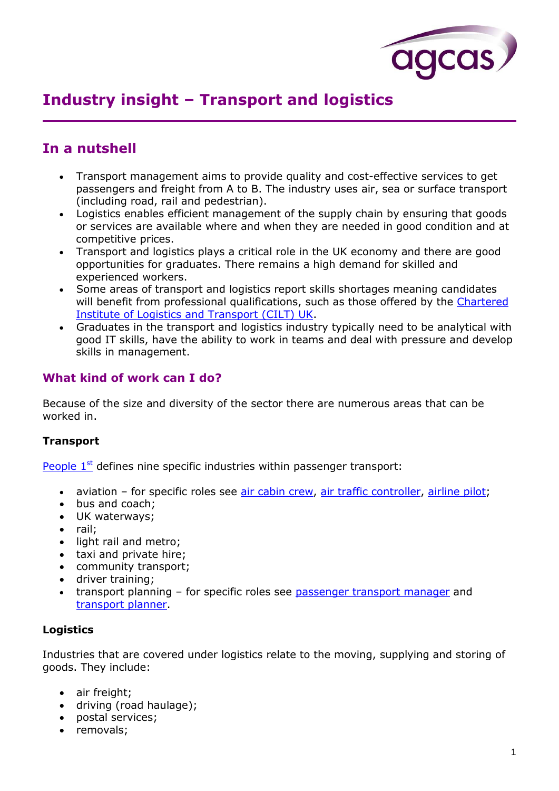

# **Industry insight – Transport and logistics**

## **In a nutshell**

- Transport management aims to provide quality and cost-effective services to get passengers and freight from A to B. The industry uses air, sea or surface transport (including road, rail and pedestrian).
- Logistics enables efficient management of the supply chain by ensuring that goods or services are available where and when they are needed in good condition and at competitive prices.
- Transport and logistics plays a critical role in the UK economy and there are good opportunities for graduates. There remains a high demand for skilled and experienced workers.
- Some areas of transport and logistics report skills shortages meaning candidates will benefit from professional qualifications, such as those offered by the Chartered [Institute of Logistics and Transport \(CILT\) UK.](http://www.ciltuk.org.uk/)
- Graduates in the transport and logistics industry typically need to be analytical with good IT skills, have the ability to work in teams and deal with pressure and develop skills in management.

### **What kind of work can I do?**

Because of the size and diversity of the sector there are numerous areas that can be worked in.

#### **Transport**

People  $1<sup>st</sup>$  defines nine specific industries within passenger transport:

- aviation for specific roles see [air cabin crew,](http://www.prospects.ac.uk/air_cabin_crew.htm) [air traffic controller,](http://www.prospects.ac.uk/air_traffic_controller.htm) [airline pilot;](http://www.prospects.ac.uk/airline_pilot.htm)
- bus and coach;
- UK waterways;
- rail;
- light rail and metro;
- taxi and private hire:
- community transport;
- driver training;
- transport planning for specific roles see [passenger transport manager](http://www.prospects.ac.uk/passenger_transport_manager.htm) and [transport planner.](http://www.prospects.ac.uk/transport_planner.htm)

#### **Logistics**

Industries that are covered under logistics relate to the moving, supplying and storing of goods. They include:

- air freight;
- driving (road haulage);
- postal services;
- removals;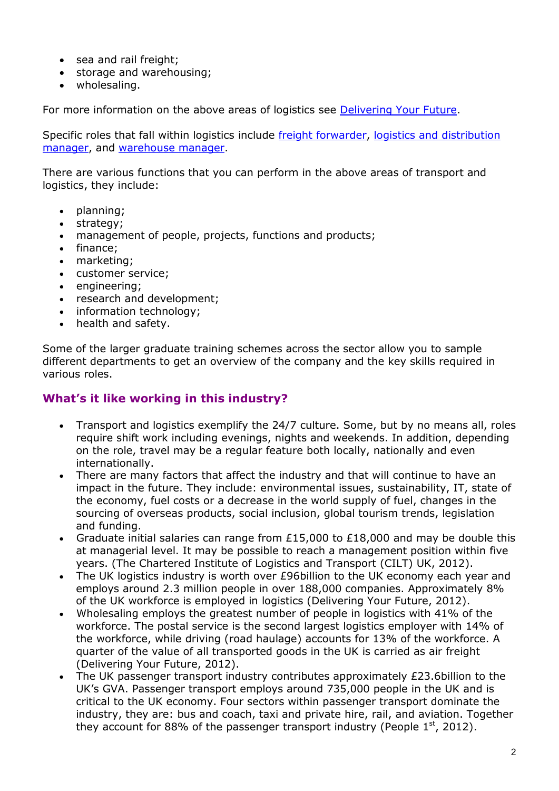- sea and rail freight;
- storage and warehousing;
- wholesaling.

For more information on the above areas of logistics see [Delivering Your Future.](http://www.deliveringyourfuture.co.uk/)

Specific roles that fall within logistics include [freight forwarder,](http://www.prospects.ac.uk/freight_forwarder.htm) [logistics and distribution](http://www.prospects.ac.uk/logistics_and_distribution_manager.htm)  [manager,](http://www.prospects.ac.uk/logistics_and_distribution_manager.htm) and [warehouse manager.](http://www.prospects.ac.uk/warehouse_manager_job_description.htm)

There are various functions that you can perform in the above areas of transport and logistics, they include:

- planning;
- strategy;
- management of people, projects, functions and products;
- finance:
- marketing;
- customer service;
- engineering;
- research and development;
- information technology;
- health and safety.

Some of the larger graduate training schemes across the sector allow you to sample different departments to get an overview of the company and the key skills required in various roles.

#### **What's it like working in this industry?**

- Transport and logistics exemplify the 24/7 culture. Some, but by no means all, roles require shift work including evenings, nights and weekends. In addition, depending on the role, travel may be a regular feature both locally, nationally and even internationally.
- There are many factors that affect the industry and that will continue to have an impact in the future. They include: environmental issues, sustainability, IT, state of the economy, fuel costs or a decrease in the world supply of fuel, changes in the sourcing of overseas products, social inclusion, global tourism trends, legislation and funding.
- Graduate initial salaries can range from £15,000 to £18,000 and may be double this at managerial level. It may be possible to reach a management position within five years. (The Chartered Institute of Logistics and Transport (CILT) UK, 2012).
- The UK logistics industry is worth over £96billion to the UK economy each year and employs around 2.3 million people in over 188,000 companies. Approximately 8% of the UK workforce is employed in logistics (Delivering Your Future, 2012).
- Wholesaling employs the greatest number of people in logistics with 41% of the workforce. The postal service is the second largest logistics employer with 14% of the workforce, while driving (road haulage) accounts for 13% of the workforce. A quarter of the value of all transported goods in the UK is carried as air freight (Delivering Your Future, 2012).
- The UK passenger transport industry contributes approximately £23.6billion to the UK's GVA. Passenger transport employs around 735,000 people in the UK and is critical to the UK economy. Four sectors within passenger transport dominate the industry, they are: bus and coach, taxi and private hire, rail, and aviation. Together they account for 88% of the passenger transport industry (People  $1<sup>st</sup>$ , 2012).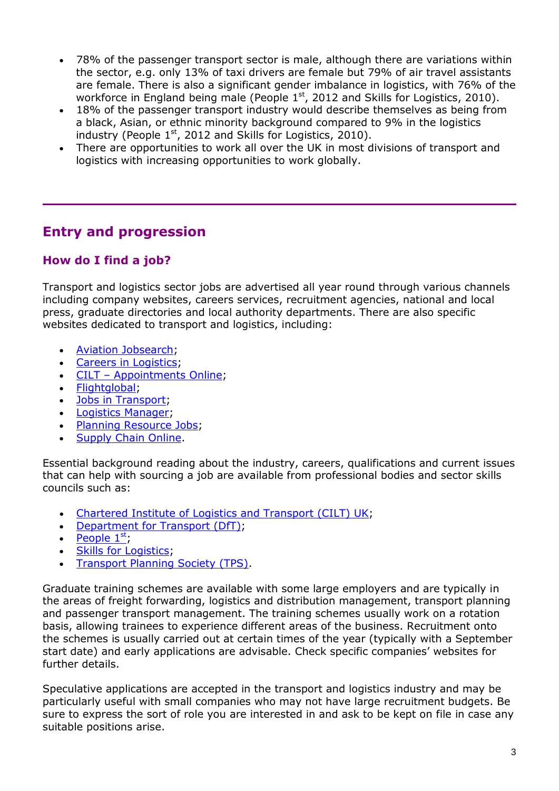- 78% of the passenger transport sector is male, although there are variations within the sector, e.g. only 13% of taxi drivers are female but 79% of air travel assistants are female. There is also a significant gender imbalance in logistics, with 76% of the workforce in England being male (People 1<sup>st</sup>, 2012 and Skills for Logistics, 2010).
- 18% of the passenger transport industry would describe themselves as being from a black, Asian, or ethnic minority background compared to 9% in the logistics industry (People  $1<sup>st</sup>$ , 2012 and Skills for Logistics, 2010).
- There are opportunities to work all over the UK in most divisions of transport and logistics with increasing opportunities to work globally.

## **Entry and progression**

## **How do I find a job?**

Transport and logistics sector jobs are advertised all year round through various channels including company websites, careers services, recruitment agencies, national and local press, graduate directories and local authority departments. There are also specific websites dedicated to transport and logistics, including:

- [Aviation Jobsearch;](http://www.aviationjobsearch.com/)
- **[Careers in Logistics;](http://www.careersinlogistics.co.uk/)**
- CILT [Appointments Online;](http://www.ciltuk.org.uk/pages/appointments)
- [Flightglobal;](http://www.flightglobal.com/)
- [Jobs in Transport;](https://www.jobs-in-transport.com/)
- [Logistics Manager;](http://www.logisticsmanager.com/)
- [Planning Resource Jobs;](http://jobs.planningresource.co.uk/)
- [Supply Chain Online.](http://www.supplychainonline.co.uk/)

Essential background reading about the industry, careers, qualifications and current issues that can help with sourcing a job are available from professional bodies and sector skills councils such as:

- [Chartered Institute of Logistics and Transport \(CILT\) UK;](http://www.ciltuk.org.uk/)
- [Department for Transport \(DfT\);](http://www.dft.gov.uk/)
- People  $1<sup>st</sup>$ ,
- Skills for Logistics:
- [Transport Planning Society \(TPS\).](http://www.tps.org.uk/)

Graduate training schemes are available with some large employers and are typically in the areas of freight forwarding, logistics and distribution management, transport planning and passenger transport management. The training schemes usually work on a rotation basis, allowing trainees to experience different areas of the business. Recruitment onto the schemes is usually carried out at certain times of the year (typically with a September start date) and early applications are advisable. Check specific companies' websites for further details.

Speculative applications are accepted in the transport and logistics industry and may be particularly useful with small companies who may not have large recruitment budgets. Be sure to express the sort of role you are interested in and ask to be kept on file in case any suitable positions arise.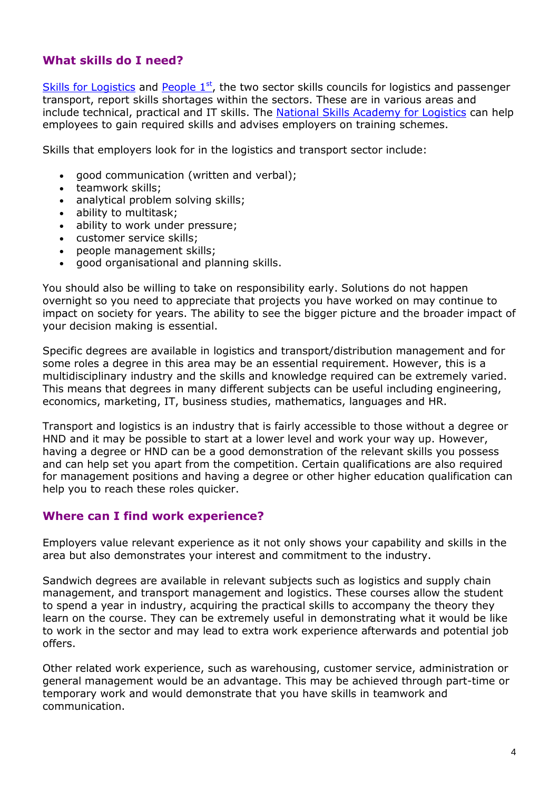### **What skills do I need?**

[Skills for Logistics](http://www.skillsforlogistics.org/) and People  $1<sup>st</sup>$ , the two sector skills councils for logistics and passenger transport, report skills shortages within the sectors. These are in various areas and include technical, practical and IT skills. The [National Skills Academy for Logistics](https://logistics.nsacademy.co.uk/) can help employees to gain required skills and advises employers on training schemes.

Skills that employers look for in the logistics and transport sector include:

- good communication (written and verbal);
- teamwork skills;
- analytical problem solving skills;
- ability to multitask;
- ability to work under pressure;
- customer service skills;
- people management skills;
- good organisational and planning skills.

You should also be willing to take on responsibility early. Solutions do not happen overnight so you need to appreciate that projects you have worked on may continue to impact on society for years. The ability to see the bigger picture and the broader impact of your decision making is essential.

Specific degrees are available in logistics and transport/distribution management and for some roles a degree in this area may be an essential requirement. However, this is a multidisciplinary industry and the skills and knowledge required can be extremely varied. This means that degrees in many different subjects can be useful including engineering, economics, marketing, IT, business studies, mathematics, languages and HR.

Transport and logistics is an industry that is fairly accessible to those without a degree or HND and it may be possible to start at a lower level and work your way up. However, having a degree or HND can be a good demonstration of the relevant skills you possess and can help set you apart from the competition. Certain qualifications are also required for management positions and having a degree or other higher education qualification can help you to reach these roles quicker.

#### **Where can I find work experience?**

Employers value relevant experience as it not only shows your capability and skills in the area but also demonstrates your interest and commitment to the industry.

Sandwich degrees are available in relevant subjects such as logistics and supply chain management, and transport management and logistics. These courses allow the student to spend a year in industry, acquiring the practical skills to accompany the theory they learn on the course. They can be extremely useful in demonstrating what it would be like to work in the sector and may lead to extra work experience afterwards and potential job offers.

Other related work experience, such as warehousing, customer service, administration or general management would be an advantage. This may be achieved through part-time or temporary work and would demonstrate that you have skills in teamwork and communication.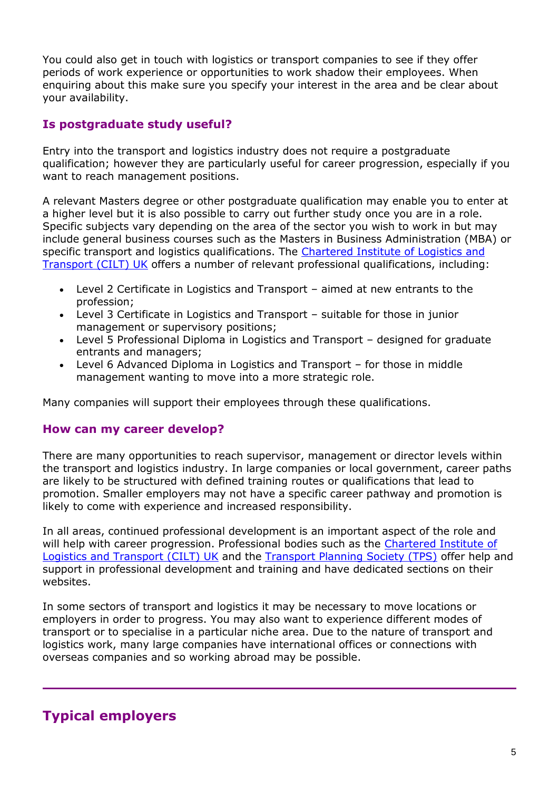You could also get in touch with logistics or transport companies to see if they offer periods of work experience or opportunities to work shadow their employees. When enquiring about this make sure you specify your interest in the area and be clear about your availability.

### **Is postgraduate study useful?**

Entry into the transport and logistics industry does not require a postgraduate qualification; however they are particularly useful for career progression, especially if you want to reach management positions.

A relevant Masters degree or other postgraduate qualification may enable you to enter at a higher level but it is also possible to carry out further study once you are in a role. Specific subjects vary depending on the area of the sector you wish to work in but may include general business courses such as the Masters in Business Administration (MBA) or specific transport and logistics qualifications. The Chartered Institute of Logistics and [Transport \(CILT\) UK](http://www.ciltuk.org.uk/) offers a number of relevant professional qualifications, including:

- Level 2 Certificate in Logistics and Transport aimed at new entrants to the profession;
- Level 3 Certificate in Logistics and Transport suitable for those in junior management or supervisory positions;
- Level 5 Professional Diploma in Logistics and Transport designed for graduate entrants and managers;
- Level 6 Advanced Diploma in Logistics and Transport for those in middle management wanting to move into a more strategic role.

Many companies will support their employees through these qualifications.

#### **How can my career develop?**

There are many opportunities to reach supervisor, management or director levels within the transport and logistics industry. In large companies or local government, career paths are likely to be structured with defined training routes or qualifications that lead to promotion. Smaller employers may not have a specific career pathway and promotion is likely to come with experience and increased responsibility.

In all areas, continued professional development is an important aspect of the role and will help with career progression. Professional bodies such as the Chartered Institute of [Logistics and Transport \(CILT\) UK](http://www.ciltuk.org.uk/) and the [Transport Planning Society \(TPS\)](http://www.tps.org.uk/) offer help and support in professional development and training and have dedicated sections on their websites.

In some sectors of transport and logistics it may be necessary to move locations or employers in order to progress. You may also want to experience different modes of transport or to specialise in a particular niche area. Due to the nature of transport and logistics work, many large companies have international offices or connections with overseas companies and so working abroad may be possible.

## **Typical employers**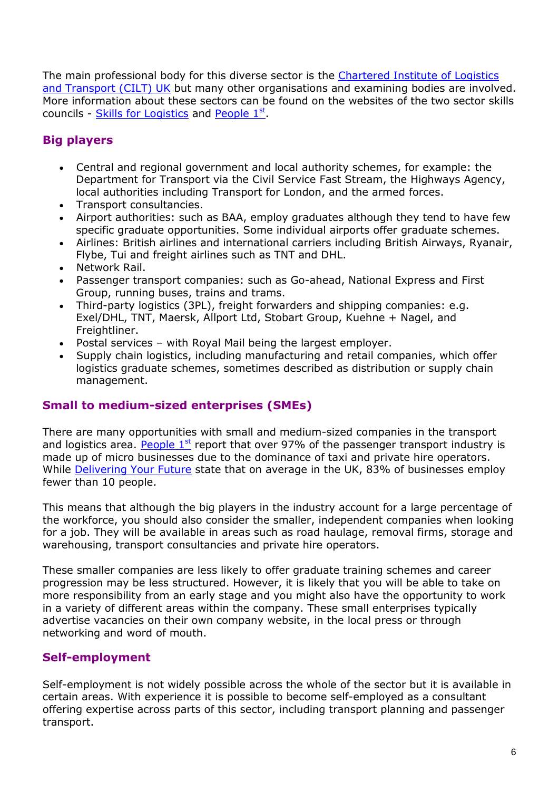The main professional body for this diverse sector is the [Chartered Institute of Logistics](http://www.ciltuk.org.uk/)  [and Transport \(CILT\) UK](http://www.ciltuk.org.uk/) but many other organisations and examining bodies are involved. More information about these sectors can be found on the websites of the two sector skills councils - [Skills for Logistics](http://www.skillsforlogistics.org/) and [People 1](http://www.people1st.co.uk/)st.

## **Big players**

- Central and regional government and local authority schemes, for example: the Department for Transport via the Civil Service Fast Stream, the Highways Agency, local authorities including Transport for London, and the armed forces.
- Transport consultancies.
- Airport authorities: such as BAA, employ graduates although they tend to have few specific graduate opportunities. Some individual airports offer graduate schemes.
- Airlines: British airlines and international carriers including British Airways, Ryanair, Flybe, Tui and freight airlines such as TNT and DHL.
- Network Rail.
- Passenger transport companies: such as Go-ahead, National Express and First Group, running buses, trains and trams.
- Third-party logistics (3PL), freight forwarders and shipping companies: e.g. Exel/DHL, TNT, Maersk, Allport Ltd, Stobart Group, Kuehne + Nagel, and Freightliner.
- Postal services with Royal Mail being the largest employer.
- Supply chain logistics, including manufacturing and retail companies, which offer logistics graduate schemes, sometimes described as distribution or supply chain management.

### **Small to medium-sized enterprises (SMEs)**

There are many opportunities with small and medium-sized companies in the transport and logistics area. People  $1<sup>st</sup>$  report that over 97% of the passenger transport industry is made up of micro businesses due to the dominance of taxi and private hire operators. While [Delivering Your Future](http://www.deliveringyourfuture.co.uk/) state that on average in the UK, 83% of businesses employ fewer than 10 people.

This means that although the big players in the industry account for a large percentage of the workforce, you should also consider the smaller, independent companies when looking for a job. They will be available in areas such as road haulage, removal firms, storage and warehousing, transport consultancies and private hire operators.

These smaller companies are less likely to offer graduate training schemes and career progression may be less structured. However, it is likely that you will be able to take on more responsibility from an early stage and you might also have the opportunity to work in a variety of different areas within the company. These small enterprises typically advertise vacancies on their own company website, in the local press or through networking and word of mouth.

### **Self-employment**

Self-employment is not widely possible across the whole of the sector but it is available in certain areas. With experience it is possible to become self-employed as a consultant offering expertise across parts of this sector, including transport planning and passenger transport.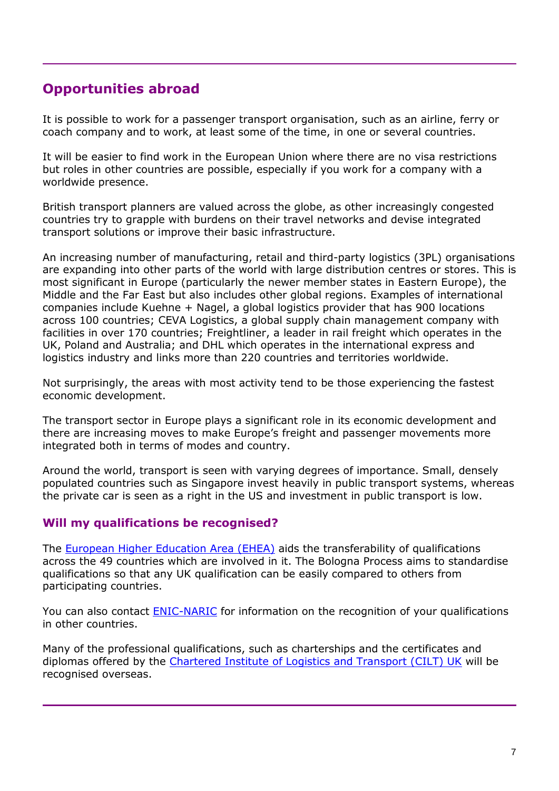## **Opportunities abroad**

It is possible to work for a passenger transport organisation, such as an airline, ferry or coach company and to work, at least some of the time, in one or several countries.

It will be easier to find work in the European Union where there are no visa restrictions but roles in other countries are possible, especially if you work for a company with a worldwide presence.

British transport planners are valued across the globe, as other increasingly congested countries try to grapple with burdens on their travel networks and devise integrated transport solutions or improve their basic infrastructure.

An increasing number of manufacturing, retail and third-party logistics (3PL) organisations are expanding into other parts of the world with large distribution centres or stores. This is most significant in Europe (particularly the newer member states in Eastern Europe), the Middle and the Far East but also includes other global regions. Examples of international companies include Kuehne + Nagel, a global logistics provider that has 900 locations across 100 countries; CEVA Logistics, a global supply chain management company with facilities in over 170 countries; Freightliner, a leader in rail freight which operates in the UK, Poland and Australia; and DHL which operates in the international express and logistics industry and links more than 220 countries and territories worldwide.

Not surprisingly, the areas with most activity tend to be those experiencing the fastest economic development.

The transport sector in Europe plays a significant role in its economic development and there are increasing moves to make Europe's freight and passenger movements more integrated both in terms of modes and country.

Around the world, transport is seen with varying degrees of importance. Small, densely populated countries such as Singapore invest heavily in public transport systems, whereas the private car is seen as a right in the US and investment in public transport is low.

#### **Will my qualifications be recognised?**

The [European Higher Education Area \(EHEA\)](http://www.ehea.info/) aids the transferability of qualifications across the 49 countries which are involved in it. The Bologna Process aims to standardise qualifications so that any UK qualification can be easily compared to others from participating countries.

You can also contact [ENIC-NARIC](http://www.enic-naric.net/) for information on the recognition of your qualifications in other countries.

Many of the professional qualifications, such as charterships and the certificates and diplomas offered by the [Chartered Institute of Logistics and Transport \(CILT\) UK](http://www.ciltuk.org.uk/) will be recognised overseas.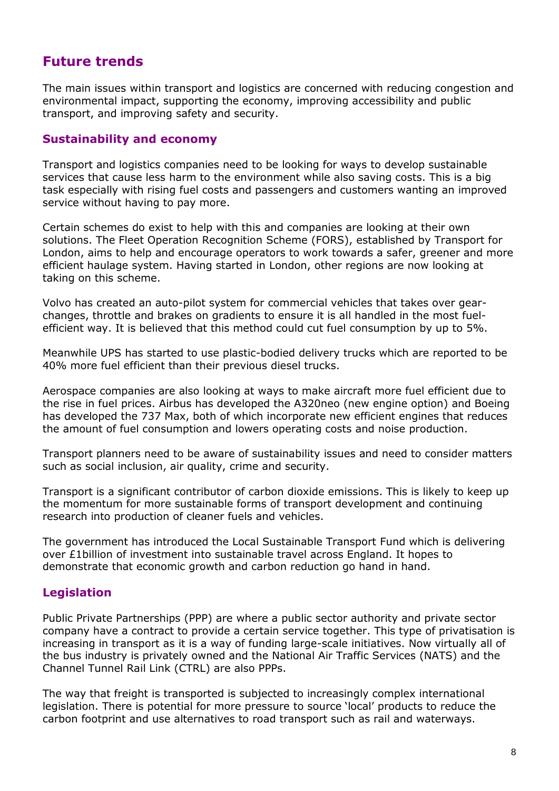## **Future trends**

The main issues within transport and logistics are concerned with reducing congestion and environmental impact, supporting the economy, improving accessibility and public transport, and improving safety and security.

#### **Sustainability and economy**

Transport and logistics companies need to be looking for ways to develop sustainable services that cause less harm to the environment while also saving costs. This is a big task especially with rising fuel costs and passengers and customers wanting an improved service without having to pay more.

Certain schemes do exist to help with this and companies are looking at their own solutions. The Fleet Operation Recognition Scheme (FORS), established by Transport for London, aims to help and encourage operators to work towards a safer, greener and more efficient haulage system. Having started in London, other regions are now looking at taking on this scheme.

Volvo has created an auto-pilot system for commercial vehicles that takes over gearchanges, throttle and brakes on gradients to ensure it is all handled in the most fuelefficient way. It is believed that this method could cut fuel consumption by up to 5%.

Meanwhile UPS has started to use plastic-bodied delivery trucks which are reported to be 40% more fuel efficient than their previous diesel trucks.

Aerospace companies are also looking at ways to make aircraft more fuel efficient due to the rise in fuel prices. Airbus has developed the A320neo (new engine option) and Boeing has developed the 737 Max, both of which incorporate new efficient engines that reduces the amount of fuel consumption and lowers operating costs and noise production.

Transport planners need to be aware of sustainability issues and need to consider matters such as social inclusion, air quality, crime and security.

Transport is a significant contributor of carbon dioxide emissions. This is likely to keep up the momentum for more sustainable forms of transport development and continuing research into production of cleaner fuels and vehicles.

The government has introduced the Local Sustainable Transport Fund which is delivering over £1billion of investment into sustainable travel across England. It hopes to demonstrate that economic growth and carbon reduction go hand in hand.

### **Legislation**

Public Private Partnerships (PPP) are where a public sector authority and private sector company have a contract to provide a certain service together. This type of privatisation is increasing in transport as it is a way of funding large-scale initiatives. Now virtually all of the bus industry is privately owned and the National Air Traffic Services (NATS) and the Channel Tunnel Rail Link (CTRL) are also PPPs.

The way that freight is transported is subjected to increasingly complex international legislation. There is potential for more pressure to source 'local' products to reduce the carbon footprint and use alternatives to road transport such as rail and waterways.